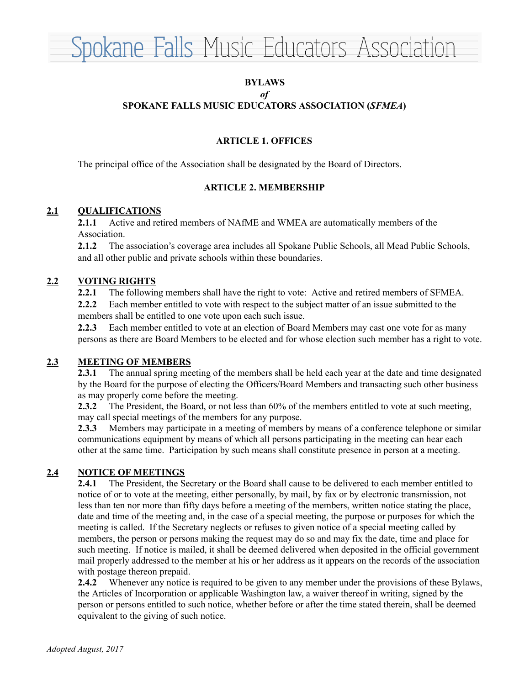

### **BYLAWS** *of* **SPOKANE FALLS MUSIC EDUCATORS ASSOCIATION (***SFMEA***)**

## **ARTICLE 1. OFFICES**

The principal office of the Association shall be designated by the Board of Directors.

### **ARTICLE 2. MEMBERSHIP**

### **2.1 QUALIFICATIONS**

**2.1.1** Active and retired members of NAfME and WMEA are automatically members of the Association.

**2.1.2** The association's coverage area includes all Spokane Public Schools, all Mead Public Schools, and all other public and private schools within these boundaries.

### **2.2 VOTING RIGHTS**

**2.2.1** The following members shall have the right to vote: Active and retired members of SFMEA.

**2.2.2** Each member entitled to vote with respect to the subject matter of an issue submitted to the members shall be entitled to one vote upon each such issue.

**2.2.3** Each member entitled to vote at an election of Board Members may cast one vote for as many persons as there are Board Members to be elected and for whose election such member has a right to vote.

### **2.3 MEETING OF MEMBERS**

**2.3.1** The annual spring meeting of the members shall be held each year at the date and time designated by the Board for the purpose of electing the Officers/Board Members and transacting such other business as may properly come before the meeting.

**2.3.2** The President, the Board, or not less than 60% of the members entitled to vote at such meeting, may call special meetings of the members for any purpose.

**2.3.3** Members may participate in a meeting of members by means of a conference telephone or similar communications equipment by means of which all persons participating in the meeting can hear each other at the same time. Participation by such means shall constitute presence in person at a meeting.

### **2.4 NOTICE OF MEETINGS**

**2.4.1** The President, the Secretary or the Board shall cause to be delivered to each member entitled to notice of or to vote at the meeting, either personally, by mail, by fax or by electronic transmission, not less than ten nor more than fifty days before a meeting of the members, written notice stating the place, date and time of the meeting and, in the case of a special meeting, the purpose or purposes for which the meeting is called. If the Secretary neglects or refuses to given notice of a special meeting called by members, the person or persons making the request may do so and may fix the date, time and place for such meeting. If notice is mailed, it shall be deemed delivered when deposited in the official government mail properly addressed to the member at his or her address as it appears on the records of the association with postage thereon prepaid.

**2.4.2** Whenever any notice is required to be given to any member under the provisions of these Bylaws, the Articles of Incorporation or applicable Washington law, a waiver thereof in writing, signed by the person or persons entitled to such notice, whether before or after the time stated therein, shall be deemed equivalent to the giving of such notice.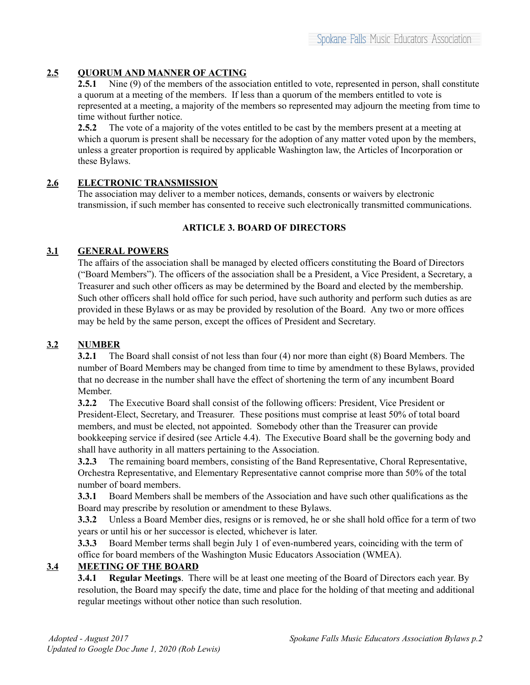# **2.5 QUORUM AND MANNER OF ACTING**

**2.5.1** Nine (9) of the members of the association entitled to vote, represented in person, shall constitute a quorum at a meeting of the members. If less than a quorum of the members entitled to vote is represented at a meeting, a majority of the members so represented may adjourn the meeting from time to time without further notice.

**2.5.2** The vote of a majority of the votes entitled to be cast by the members present at a meeting at which a quorum is present shall be necessary for the adoption of any matter voted upon by the members, unless a greater proportion is required by applicable Washington law, the Articles of Incorporation or these Bylaws.

## **2.6 ELECTRONIC TRANSMISSION**

The association may deliver to a member notices, demands, consents or waivers by electronic transmission, if such member has consented to receive such electronically transmitted communications.

# **ARTICLE 3. BOARD OF DIRECTORS**

## **3.1 GENERAL POWERS**

The affairs of the association shall be managed by elected officers constituting the Board of Directors ("Board Members"). The officers of the association shall be a President, a Vice President, a Secretary, a Treasurer and such other officers as may be determined by the Board and elected by the membership. Such other officers shall hold office for such period, have such authority and perform such duties as are provided in these Bylaws or as may be provided by resolution of the Board. Any two or more offices may be held by the same person, except the offices of President and Secretary.

# **3.2 NUMBER**

**3.2.1** The Board shall consist of not less than four (4) nor more than eight (8) Board Members. The number of Board Members may be changed from time to time by amendment to these Bylaws, provided that no decrease in the number shall have the effect of shortening the term of any incumbent Board Member.

**3.2.2** The Executive Board shall consist of the following officers: President, Vice President or President-Elect, Secretary, and Treasurer. These positions must comprise at least 50% of total board members, and must be elected, not appointed. Somebody other than the Treasurer can provide bookkeeping service if desired (see Article 4.4). The Executive Board shall be the governing body and shall have authority in all matters pertaining to the Association.

**3.2.3** The remaining board members, consisting of the Band Representative, Choral Representative, Orchestra Representative, and Elementary Representative cannot comprise more than 50% of the total number of board members.

**3.3.1** Board Members shall be members of the Association and have such other qualifications as the Board may prescribe by resolution or amendment to these Bylaws.

**3.3.2** Unless a Board Member dies, resigns or is removed, he or she shall hold office for a term of two years or until his or her successor is elected, whichever is later.

**3.3.3** Board Member terms shall begin July 1 of even-numbered years, coinciding with the term of office for board members of the Washington Music Educators Association (WMEA).

# **3.4 MEETING OF THE BOARD**

**3.4.1 Regular Meetings**. There will be at least one meeting of the Board of Directors each year. By resolution, the Board may specify the date, time and place for the holding of that meeting and additional regular meetings without other notice than such resolution.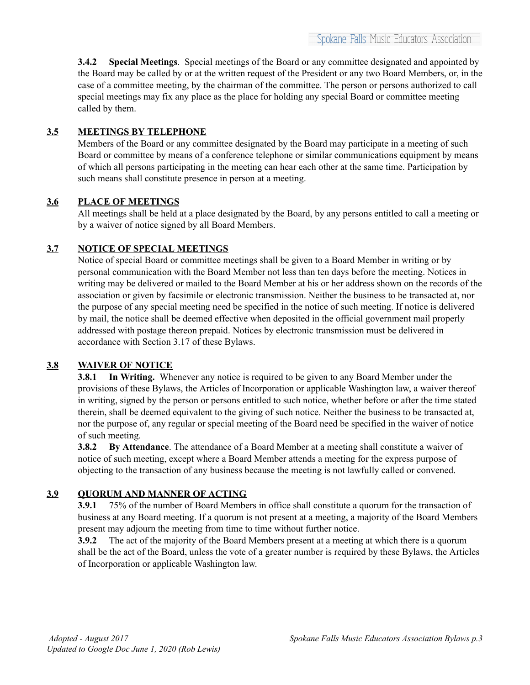**3.4.2 Special Meetings**. Special meetings of the Board or any committee designated and appointed by the Board may be called by or at the written request of the President or any two Board Members, or, in the case of a committee meeting, by the chairman of the committee. The person or persons authorized to call special meetings may fix any place as the place for holding any special Board or committee meeting called by them.

# **3.5 MEETINGS BY TELEPHONE**

Members of the Board or any committee designated by the Board may participate in a meeting of such Board or committee by means of a conference telephone or similar communications equipment by means of which all persons participating in the meeting can hear each other at the same time. Participation by such means shall constitute presence in person at a meeting.

# **3.6 PLACE OF MEETINGS**

All meetings shall be held at a place designated by the Board, by any persons entitled to call a meeting or by a waiver of notice signed by all Board Members.

# **3.7 NOTICE OF SPECIAL MEETINGS**

Notice of special Board or committee meetings shall be given to a Board Member in writing or by personal communication with the Board Member not less than ten days before the meeting. Notices in writing may be delivered or mailed to the Board Member at his or her address shown on the records of the association or given by facsimile or electronic transmission. Neither the business to be transacted at, nor the purpose of any special meeting need be specified in the notice of such meeting. If notice is delivered by mail, the notice shall be deemed effective when deposited in the official government mail properly addressed with postage thereon prepaid. Notices by electronic transmission must be delivered in accordance with Section 3.17 of these Bylaws.

## **3.8 WAIVER OF NOTICE**

**3.8.1 In Writing.** Whenever any notice is required to be given to any Board Member under the provisions of these Bylaws, the Articles of Incorporation or applicable Washington law, a waiver thereof in writing, signed by the person or persons entitled to such notice, whether before or after the time stated therein, shall be deemed equivalent to the giving of such notice. Neither the business to be transacted at, nor the purpose of, any regular or special meeting of the Board need be specified in the waiver of notice of such meeting.

**3.8.2 By Attendance**. The attendance of a Board Member at a meeting shall constitute a waiver of notice of such meeting, except where a Board Member attends a meeting for the express purpose of objecting to the transaction of any business because the meeting is not lawfully called or convened.

# **3.9 QUORUM AND MANNER OF ACTING**

**3.9.1** 75% of the number of Board Members in office shall constitute a quorum for the transaction of business at any Board meeting. If a quorum is not present at a meeting, a majority of the Board Members present may adjourn the meeting from time to time without further notice.

**3.9.2** The act of the majority of the Board Members present at a meeting at which there is a quorum shall be the act of the Board, unless the vote of a greater number is required by these Bylaws, the Articles of Incorporation or applicable Washington law.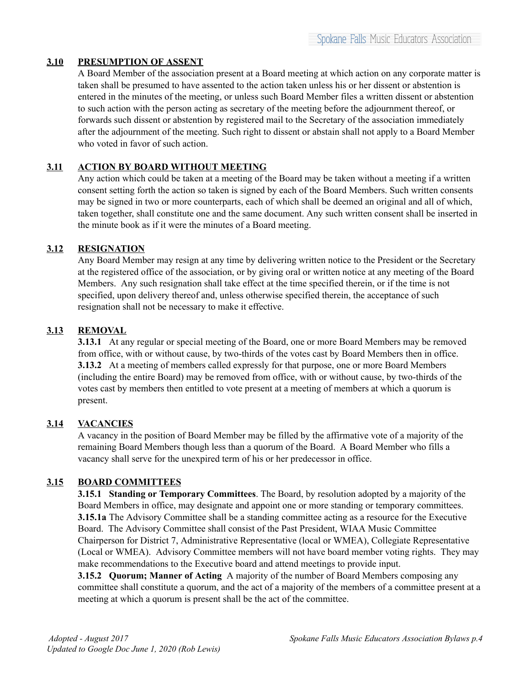# **3.10 PRESUMPTION OF ASSENT**

A Board Member of the association present at a Board meeting at which action on any corporate matter is taken shall be presumed to have assented to the action taken unless his or her dissent or abstention is entered in the minutes of the meeting, or unless such Board Member files a written dissent or abstention to such action with the person acting as secretary of the meeting before the adjournment thereof, or forwards such dissent or abstention by registered mail to the Secretary of the association immediately after the adjournment of the meeting. Such right to dissent or abstain shall not apply to a Board Member who voted in favor of such action.

# **3.11 ACTION BY BOARD WITHOUT MEETING**

Any action which could be taken at a meeting of the Board may be taken without a meeting if a written consent setting forth the action so taken is signed by each of the Board Members. Such written consents may be signed in two or more counterparts, each of which shall be deemed an original and all of which, taken together, shall constitute one and the same document. Any such written consent shall be inserted in the minute book as if it were the minutes of a Board meeting.

### **3.12 RESIGNATION**

Any Board Member may resign at any time by delivering written notice to the President or the Secretary at the registered office of the association, or by giving oral or written notice at any meeting of the Board Members. Any such resignation shall take effect at the time specified therein, or if the time is not specified, upon delivery thereof and, unless otherwise specified therein, the acceptance of such resignation shall not be necessary to make it effective.

## **3.13 REMOVAL**

**3.13.1** At any regular or special meeting of the Board, one or more Board Members may be removed from office, with or without cause, by two-thirds of the votes cast by Board Members then in office. **3.13.2** At a meeting of members called expressly for that purpose, one or more Board Members (including the entire Board) may be removed from office, with or without cause, by two-thirds of the votes cast by members then entitled to vote present at a meeting of members at which a quorum is present.

## **3.14 VACANCIES**

A vacancy in the position of Board Member may be filled by the affirmative vote of a majority of the remaining Board Members though less than a quorum of the Board. A Board Member who fills a vacancy shall serve for the unexpired term of his or her predecessor in office.

## **3.15 BOARD COMMITTEES**

**3.15.1 Standing or Temporary Committees**. The Board, by resolution adopted by a majority of the Board Members in office, may designate and appoint one or more standing or temporary committees. **3.15.1a** The Advisory Committee shall be a standing committee acting as a resource for the Executive Board. The Advisory Committee shall consist of the Past President, WIAA Music Committee Chairperson for District 7, Administrative Representative (local or WMEA), Collegiate Representative (Local or WMEA). Advisory Committee members will not have board member voting rights. They may make recommendations to the Executive board and attend meetings to provide input.

**3.15.2 Quorum; Manner of Acting** A majority of the number of Board Members composing any committee shall constitute a quorum, and the act of a majority of the members of a committee present at a meeting at which a quorum is present shall be the act of the committee.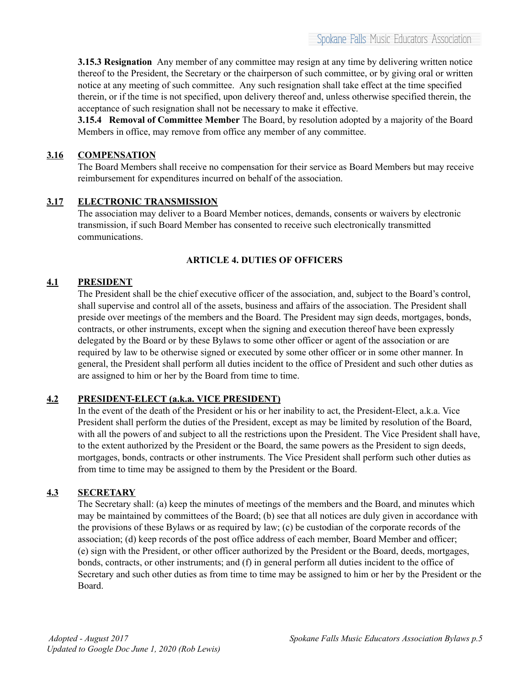**3.15.3 Resignation** Any member of any committee may resign at any time by delivering written notice thereof to the President, the Secretary or the chairperson of such committee, or by giving oral or written notice at any meeting of such committee. Any such resignation shall take effect at the time specified therein, or if the time is not specified, upon delivery thereof and, unless otherwise specified therein, the acceptance of such resignation shall not be necessary to make it effective.

**3.15.4 Removal of Committee Member** The Board, by resolution adopted by a majority of the Board Members in office, may remove from office any member of any committee.

## **3.16 COMPENSATION**

The Board Members shall receive no compensation for their service as Board Members but may receive reimbursement for expenditures incurred on behalf of the association.

## **3.17 ELECTRONIC TRANSMISSION**

The association may deliver to a Board Member notices, demands, consents or waivers by electronic transmission, if such Board Member has consented to receive such electronically transmitted communications.

## **ARTICLE 4. DUTIES OF OFFICERS**

### **4.1 PRESIDENT**

The President shall be the chief executive officer of the association, and, subject to the Board's control, shall supervise and control all of the assets, business and affairs of the association. The President shall preside over meetings of the members and the Board. The President may sign deeds, mortgages, bonds, contracts, or other instruments, except when the signing and execution thereof have been expressly delegated by the Board or by these Bylaws to some other officer or agent of the association or are required by law to be otherwise signed or executed by some other officer or in some other manner. In general, the President shall perform all duties incident to the office of President and such other duties as are assigned to him or her by the Board from time to time.

### **4.2 PRESIDENT-ELECT (a.k.a. VICE PRESIDENT)**

In the event of the death of the President or his or her inability to act, the President-Elect, a.k.a. Vice President shall perform the duties of the President, except as may be limited by resolution of the Board, with all the powers of and subject to all the restrictions upon the President. The Vice President shall have, to the extent authorized by the President or the Board, the same powers as the President to sign deeds, mortgages, bonds, contracts or other instruments. The Vice President shall perform such other duties as from time to time may be assigned to them by the President or the Board.

## **4.3 SECRETARY**

The Secretary shall: (a) keep the minutes of meetings of the members and the Board, and minutes which may be maintained by committees of the Board; (b) see that all notices are duly given in accordance with the provisions of these Bylaws or as required by law; (c) be custodian of the corporate records of the association; (d) keep records of the post office address of each member, Board Member and officer; (e) sign with the President, or other officer authorized by the President or the Board, deeds, mortgages, bonds, contracts, or other instruments; and (f) in general perform all duties incident to the office of Secretary and such other duties as from time to time may be assigned to him or her by the President or the Board.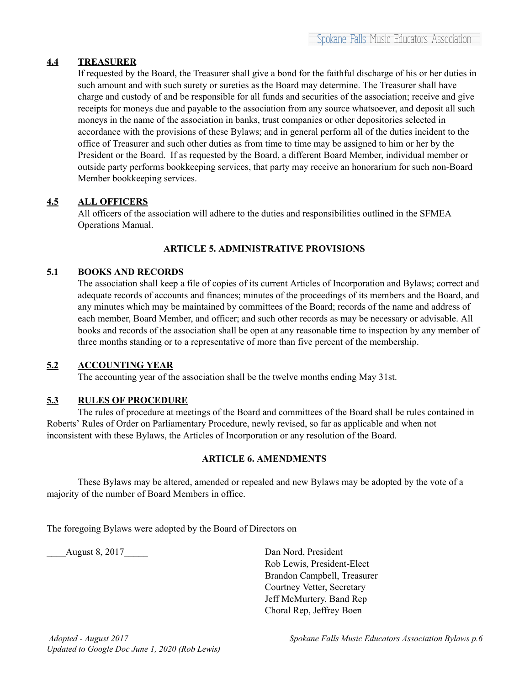## **4.4 TREASURER**

If requested by the Board, the Treasurer shall give a bond for the faithful discharge of his or her duties in such amount and with such surety or sureties as the Board may determine. The Treasurer shall have charge and custody of and be responsible for all funds and securities of the association; receive and give receipts for moneys due and payable to the association from any source whatsoever, and deposit all such moneys in the name of the association in banks, trust companies or other depositories selected in accordance with the provisions of these Bylaws; and in general perform all of the duties incident to the office of Treasurer and such other duties as from time to time may be assigned to him or her by the President or the Board. If as requested by the Board, a different Board Member, individual member or outside party performs bookkeeping services, that party may receive an honorarium for such non-Board Member bookkeeping services.

### **4.5 ALL OFFICERS**

All officers of the association will adhere to the duties and responsibilities outlined in the SFMEA Operations Manual.

### **ARTICLE 5. ADMINISTRATIVE PROVISIONS**

### **5.1 BOOKS AND RECORDS**

The association shall keep a file of copies of its current Articles of Incorporation and Bylaws; correct and adequate records of accounts and finances; minutes of the proceedings of its members and the Board, and any minutes which may be maintained by committees of the Board; records of the name and address of each member, Board Member, and officer; and such other records as may be necessary or advisable. All books and records of the association shall be open at any reasonable time to inspection by any member of three months standing or to a representative of more than five percent of the membership.

### **5.2 ACCOUNTING YEAR**

The accounting year of the association shall be the twelve months ending May 31st.

### **5.3 RULES OF PROCEDURE**

The rules of procedure at meetings of the Board and committees of the Board shall be rules contained in Roberts' Rules of Order on Parliamentary Procedure, newly revised, so far as applicable and when not inconsistent with these Bylaws, the Articles of Incorporation or any resolution of the Board.

### **ARTICLE 6. AMENDMENTS**

These Bylaws may be altered, amended or repealed and new Bylaws may be adopted by the vote of a majority of the number of Board Members in office.

The foregoing Bylaws were adopted by the Board of Directors on

August 8, 2017 Dan Nord, President Rob Lewis, President-Elect Brandon Campbell, Treasurer Courtney Vetter, Secretary Jeff McMurtery, Band Rep Choral Rep, Jeffrey Boen